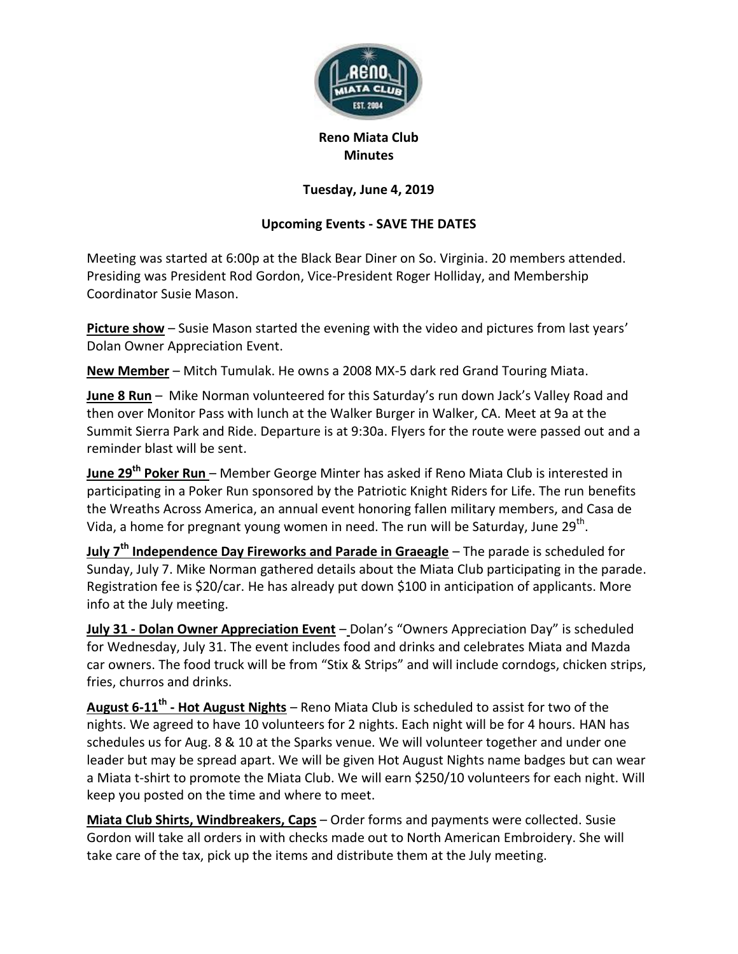

## **Reno Miata Club Minutes**

## **Tuesday, June 4, 2019**

## **Upcoming Events - SAVE THE DATES**

Meeting was started at 6:00p at the Black Bear Diner on So. Virginia. 20 members attended. Presiding was President Rod Gordon, Vice-President Roger Holliday, and Membership Coordinator Susie Mason.

**Picture show** – Susie Mason started the evening with the video and pictures from last years' Dolan Owner Appreciation Event.

**New Member** – Mitch Tumulak. He owns a 2008 MX-5 dark red Grand Touring Miata.

**June 8 Run** – Mike Norman volunteered for this Saturday's run down Jack's Valley Road and then over Monitor Pass with lunch at the Walker Burger in Walker, CA. Meet at 9a at the Summit Sierra Park and Ride. Departure is at 9:30a. Flyers for the route were passed out and a reminder blast will be sent.

**June 29th Poker Run** – Member George Minter has asked if Reno Miata Club is interested in participating in a Poker Run sponsored by the Patriotic Knight Riders for Life. The run benefits the Wreaths Across America, an annual event honoring fallen military members, and Casa de Vida, a home for pregnant young women in need. The run will be Saturday, June 29<sup>th</sup>.

**July 7th Independence Day Fireworks and Parade in Graeagle** – The parade is scheduled for Sunday, July 7. Mike Norman gathered details about the Miata Club participating in the parade. Registration fee is \$20/car. He has already put down \$100 in anticipation of applicants. More info at the July meeting.

**July 31 - Dolan Owner Appreciation Event** – Dolan's "Owners Appreciation Day" is scheduled for Wednesday, July 31. The event includes food and drinks and celebrates Miata and Mazda car owners. The food truck will be from "Stix & Strips" and will include corndogs, chicken strips, fries, churros and drinks.

**August 6-11th - Hot August Nights** – Reno Miata Club is scheduled to assist for two of the nights. We agreed to have 10 volunteers for 2 nights. Each night will be for 4 hours. HAN has schedules us for Aug. 8 & 10 at the Sparks venue. We will volunteer together and under one leader but may be spread apart. We will be given Hot August Nights name badges but can wear a Miata t-shirt to promote the Miata Club. We will earn \$250/10 volunteers for each night. Will keep you posted on the time and where to meet.

**Miata Club Shirts, Windbreakers, Caps** – Order forms and payments were collected. Susie Gordon will take all orders in with checks made out to North American Embroidery. She will take care of the tax, pick up the items and distribute them at the July meeting.